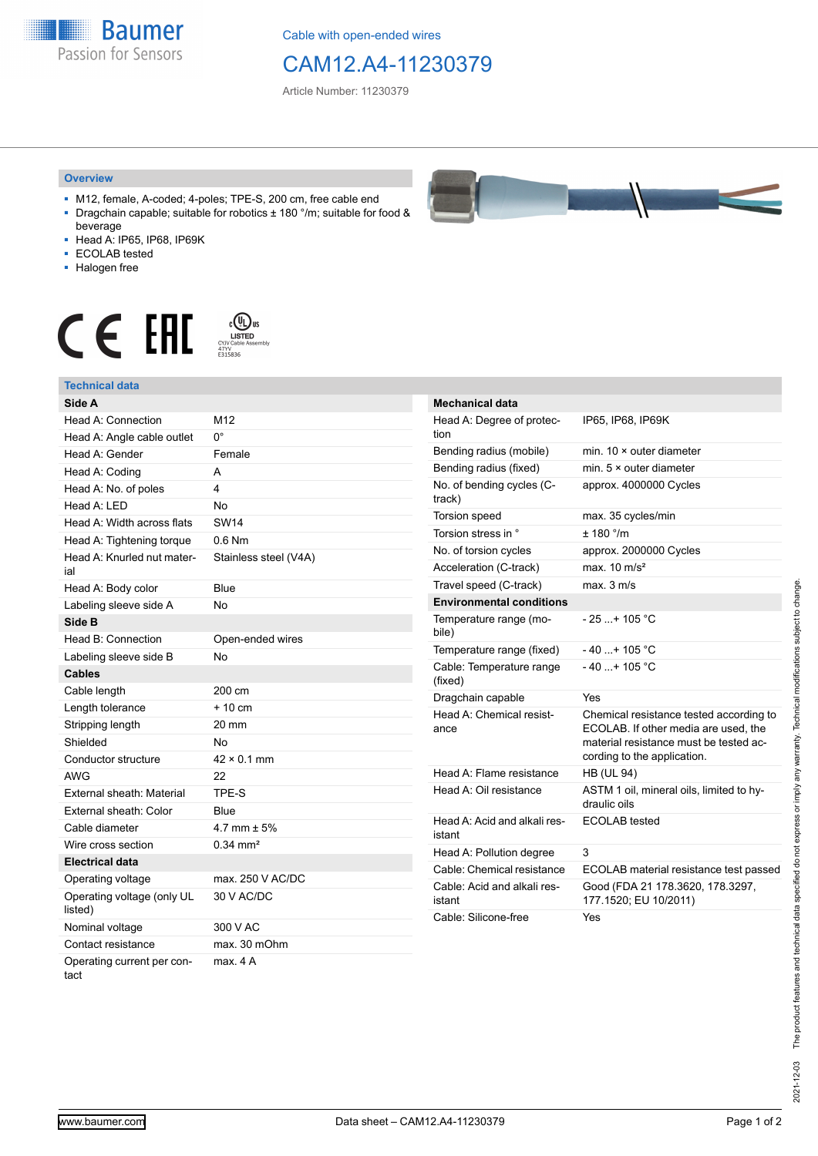**Baumer** Passion for Sensors

Cable with open-ended wires

## CAM12.A4-11230379

Article Number: 11230379

## **Overview**

- M12, female, A-coded; 4-poles; TPE-S, 200 cm, free cable end ■ Dragchain capable; suitable for robotics ± 180 °/m; suitable for food &
- beverage ■ Head A: IP65, IP68, IP69K
- ECOLAB tested
- Halogen free
- 

**Technical data**

## $\mathbf{C} \in \mathbb{H}$   $\mathbb{H}$   $\mathbb{H}$   $\mathbb{H}$   $\mathbb{H}$   $\mathbb{H}$   $\mathbb{H}$   $\mathbb{H}$   $\mathbb{H}$   $\mathbb{H}$   $\mathbb{H}$   $\mathbb{H}$   $\mathbb{H}$   $\mathbb{H}$   $\mathbb{H}$   $\mathbb{H}$   $\mathbb{H}$   $\mathbb{H}$   $\mathbb{H}$   $\mathbb{H}$   $\mathbb{H}$   $\mathbb{H}$   $\mathbb{H}$   $\mathbb{H$



| Side A                                |                       |
|---------------------------------------|-----------------------|
| Head A: Connection                    | M12                   |
| Head A: Angle cable outlet            | 0°                    |
| Head A: Gender                        | Female                |
| Head A: Coding                        | A                     |
| Head A: No. of poles                  | 4                     |
| Head A: LED                           | No                    |
| Head A: Width across flats            | <b>SW14</b>           |
| Head A: Tightening torque             | $0.6$ Nm              |
| Head A: Knurled nut mater-<br>ial     | Stainless steel (V4A) |
| Head A: Body color                    | Blue                  |
| Labeling sleeve side A                | <b>No</b>             |
| Side B                                |                       |
| Head B: Connection                    | Open-ended wires      |
| Labeling sleeve side B                | No                    |
| <b>Cables</b>                         |                       |
| Cable length                          | 200 cm                |
| Length tolerance                      | $+10$ cm              |
| Stripping length                      | 20 mm                 |
| Shielded                              | <b>No</b>             |
| Conductor structure                   | $42 \times 0.1$ mm    |
| <b>AWG</b>                            | 22                    |
| External sheath: Material             | TPE-S                 |
| External sheath: Color                | Blue                  |
| Cable diameter                        | 4.7 mm $\pm$ 5%       |
| Wire cross section                    | $0.34 \, \text{mm}^2$ |
| <b>Electrical data</b>                |                       |
| Operating voltage                     | max. 250 V AC/DC      |
| Operating voltage (only UL<br>listed) | 30 V AC/DC            |
| Nominal voltage                       | 300 V AC              |
| Contact resistance                    | max. 30 mOhm          |
| Operating current per con-<br>tact    | max. 4A               |

| ,, |  |
|----|--|
|    |  |
|    |  |
|    |  |
|    |  |
|    |  |

| <b>Mechanical data</b>                 |                                                                                                                                                          |
|----------------------------------------|----------------------------------------------------------------------------------------------------------------------------------------------------------|
| Head A: Degree of protec-<br>tion      | IP65, IP68, IP69K                                                                                                                                        |
| Bending radius (mobile)                | min. $10 \times$ outer diameter                                                                                                                          |
| Bending radius (fixed)                 | min. $5 \times$ outer diameter                                                                                                                           |
| No. of bending cycles (C-<br>track)    | approx. 4000000 Cycles                                                                                                                                   |
| <b>Torsion speed</b>                   | max. 35 cycles/min                                                                                                                                       |
| Torsion stress in °                    | ± 180 °/m                                                                                                                                                |
| No. of torsion cycles                  | approx. 2000000 Cycles                                                                                                                                   |
| Acceleration (C-track)                 | max $10 \text{ m/s}^2$                                                                                                                                   |
| Travel speed (C-track)                 | max. 3 m/s                                                                                                                                               |
| <b>Environmental conditions</b>        |                                                                                                                                                          |
| Temperature range (mo-<br>bile)        | $-25$ + 105 °C                                                                                                                                           |
| Temperature range (fixed)              | - 40 + 105 °C                                                                                                                                            |
| Cable: Temperature range<br>(fixed)    | $-40$ + 105 °C                                                                                                                                           |
| Dragchain capable                      | Yes                                                                                                                                                      |
| Head A: Chemical resist-<br>ance       | Chemical resistance tested according to<br>ECOLAB. If other media are used, the<br>material resistance must be tested ac-<br>cording to the application. |
| Head A: Flame resistance               | <b>HB (UL 94)</b>                                                                                                                                        |
| Head A: Oil resistance                 | ASTM 1 oil, mineral oils, limited to hy-<br>draulic oils                                                                                                 |
| Head A: Acid and alkali res-<br>istant | <b>ECOLAB</b> tested                                                                                                                                     |
| Head A: Pollution degree               | 3                                                                                                                                                        |
| Cable: Chemical resistance             | ECOLAB material resistance test passed                                                                                                                   |
| Cable: Acid and alkali res-<br>istant  | Good (FDA 21 178.3620, 178.3297,<br>177.1520; EU 10/2011)                                                                                                |
| Cable: Silicone-free                   | Yes                                                                                                                                                      |